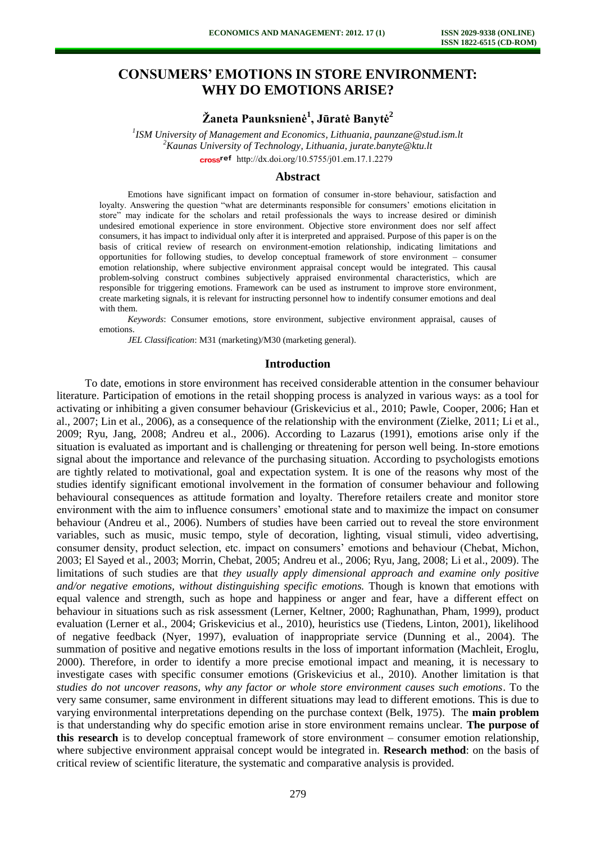# **CONSUMERS' EMOTIONS IN STORE ENVIRONMENT: WHY DO EMOTIONS ARISE?**

# **Žaneta Paunksnienė<sup>1</sup> , Jūratė Banytė<sup>2</sup>**

*1 ISM University of Management and Economics, Lithuania, paunzane@stud.ism.lt <sup>2</sup>Kaunas University of Technology, Lithuania, jurate.banyte@ktu.lt*  cross<sup>ref</sup> [http://dx.doi.org/10.5755/j01.e](http://dx.doi.org/10.5755/j01.em.17.1.2279)m.17.1.2279

#### **Abstract**

Emotions have significant impact on formation of consumer in-store behaviour, satisfaction and loyalty. Answering the question "what are determinants responsible for consumers' emotions elicitation in store" may indicate for the scholars and retail professionals the ways to increase desired or diminish undesired emotional experience in store environment. Objective store environment does nor self affect consumers, it has impact to individual only after it is interpreted and appraised. Purpose of this paper is on the basis of critical review of research on environment-emotion relationship, indicating limitations and opportunities for following studies, to develop conceptual framework of store environment – consumer emotion relationship, where subjective environment appraisal concept would be integrated. This causal problem-solving construct combines subjectively appraised environmental characteristics, which are responsible for triggering emotions. Framework can be used as instrument to improve store environment, create marketing signals, it is relevant for instructing personnel how to indentify consumer emotions and deal with them.

*Keywords*: Consumer emotions, store environment, subjective environment appraisal, causes of emotions.

*JEL Classification*: M31 (marketing)/M30 (marketing general).

#### **Introduction**

To date, emotions in store environment has received considerable attention in the consumer behaviour literature. Participation of emotions in the retail shopping process is analyzed in various ways: as a tool for activating or inhibiting a given consumer behaviour (Griskevicius et al., 2010; Pawle, Cooper, 2006; Han et al., 2007; Lin et al., 2006), as a consequence of the relationship with the environment (Zielke, 2011; Li et al., 2009; Ryu, Jang, 2008; Andreu et al., 2006). According to Lazarus (1991), emotions arise only if the situation is evaluated as important and is challenging or threatening for person well being. In-store emotions signal about the importance and relevance of the purchasing situation. According to psychologists emotions are tightly related to motivational, goal and expectation system. It is one of the reasons why most of the studies identify significant emotional involvement in the formation of consumer behaviour and following behavioural consequences as attitude formation and loyalty. Therefore retailers create and monitor store environment with the aim to influence consumers' emotional state and to maximize the impact on consumer behaviour (Andreu et al., 2006). Numbers of studies have been carried out to reveal the store environment variables, such as music, music tempo, style of decoration, lighting, visual stimuli, video advertising, consumer density, product selection, etc. impact on consumers' emotions and behaviour (Chebat, Michon, 2003; El Sayed et al., 2003; Morrin, Chebat, 2005; Andreu et al., 2006; Ryu, Jang, 2008; Li et al., 2009). The limitations of such studies are that *they usually apply dimensional approach and examine only positive and/or negative emotions, without distinguishing specific emotions.* Though is known that emotions with equal valence and strength, such as hope and happiness or anger and fear, have a different effect on behaviour in situations such as risk assessment (Lerner, Keltner, 2000; Raghunathan, Pham, 1999), product evaluation (Lerner et al., 2004; Griskevicius et al., 2010), heuristics use (Tiedens, Linton, 2001), likelihood of negative feedback (Nyer, 1997), evaluation of inappropriate service (Dunning et al., 2004). The summation of positive and negative emotions results in the loss of important information (Machleit, Eroglu, 2000). Therefore, in order to identify a more precise emotional impact and meaning, it is necessary to investigate cases with specific consumer emotions (Griskevicius et al., 2010). Another limitation is that *studies do not uncover reasons, why any factor or whole store environment causes such emotions*. To the very same consumer, same environment in different situations may lead to different emotions. This is due to varying environmental interpretations depending on the purchase context (Belk, 1975). The **main problem** is that understanding why do specific emotion arise in store environment remains unclear. **The purpose of this research** is to develop conceptual framework of store environment – consumer emotion relationship, where subjective environment appraisal concept would be integrated in. **Research method**: on the basis of critical review of scientific literature, the systematic and comparative analysis is provided.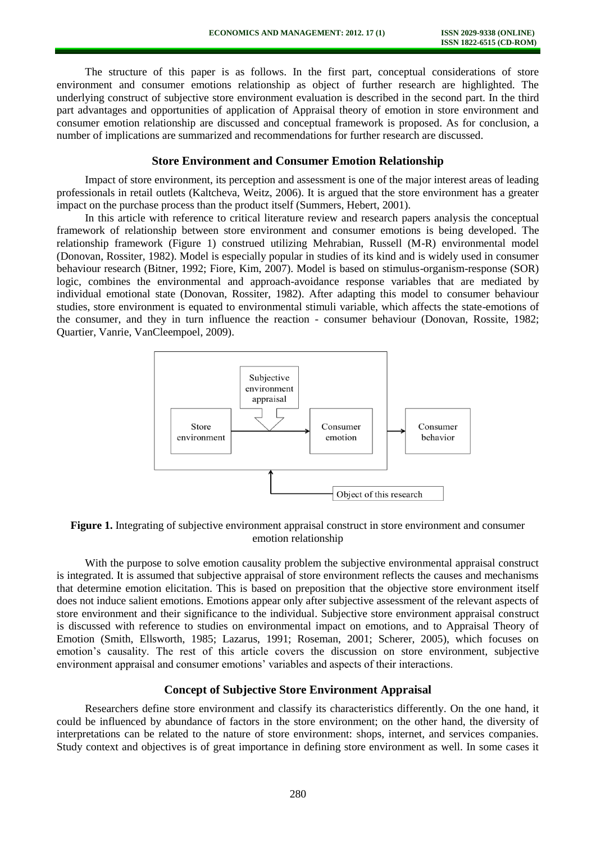The structure of this paper is as follows. In the first part, conceptual considerations of store environment and consumer emotions relationship as object of further research are highlighted. The underlying construct of subjective store environment evaluation is described in the second part. In the third part advantages and opportunities of application of Appraisal theory of emotion in store environment and consumer emotion relationship are discussed and conceptual framework is proposed. As for conclusion, a number of implications are summarized and recommendations for further research are discussed.

### **Store Environment and Consumer Emotion Relationship**

Impact of store environment, its perception and assessment is one of the major interest areas of leading professionals in retail outlets (Kaltcheva, Weitz, 2006). It is argued that the store environment has a greater impact on the purchase process than the product itself (Summers, Hebert, 2001).

In this article with reference to critical literature review and research papers analysis the conceptual framework of relationship between store environment and consumer emotions is being developed. The relationship framework (Figure 1) construed utilizing Mehrabian, Russell (M-R) environmental model (Donovan, Rossiter, 1982). Model is especially popular in studies of its kind and is widely used in consumer behaviour research (Bitner, 1992; Fiore, Kim, 2007). Model is based on stimulus-organism-response (SOR) logic, combines the environmental and approach-avoidance response variables that are mediated by individual emotional state (Donovan, Rossiter, 1982). After adapting this model to consumer behaviour studies, store environment is equated to environmental stimuli variable, which affects the state-emotions of the consumer, and they in turn influence the reaction - consumer behaviour (Donovan, Rossite, 1982; Quartier, Vanrie, VanCleempoel, 2009).



**Figure 1.** Integrating of subjective environment appraisal construct in store environment and consumer emotion relationship

With the purpose to solve emotion causality problem the subjective environmental appraisal construct is integrated. It is assumed that subjective appraisal of store environment reflects the causes and mechanisms that determine emotion elicitation. This is based on preposition that the objective store environment itself does not induce salient emotions. Emotions appear only after subjective assessment of the relevant aspects of store environment and their significance to the individual. Subjective store environment appraisal construct is discussed with reference to studies on environmental impact on emotions, and to Appraisal Theory of Emotion (Smith, Ellsworth, 1985; Lazarus, 1991; Roseman, 2001; Scherer, 2005), which focuses on emotion's causality. The rest of this article covers the discussion on store environment, subjective environment appraisal and consumer emotions' variables and aspects of their interactions.

### **Concept of Subjective Store Environment Appraisal**

Researchers define store environment and classify its characteristics differently. On the one hand, it could be influenced by abundance of factors in the store environment; on the other hand, the diversity of interpretations can be related to the nature of store environment: shops, internet, and services companies. Study context and objectives is of great importance in defining store environment as well. In some cases it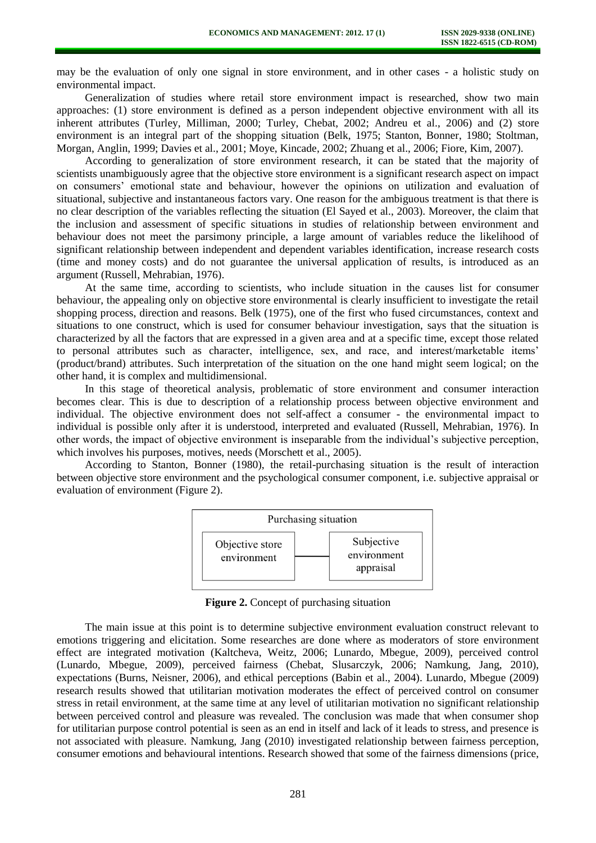may be the evaluation of only one signal in store environment, and in other cases - a holistic study on environmental impact.

Generalization of studies where retail store environment impact is researched, show two main approaches: (1) store environment is defined as a person independent objective environment with all its inherent attributes (Turley, Milliman, 2000; Turley, Chebat, 2002; Andreu et al., 2006) and (2) store environment is an integral part of the shopping situation (Belk, 1975; Stanton, Bonner, 1980; Stoltman, Morgan, Anglin, 1999; Davies et al., 2001; Moye, Kincade, 2002; Zhuang et al., 2006; Fiore, Kim, 2007).

According to generalization of store environment research, it can be stated that the majority of scientists unambiguously agree that the objective store environment is a significant research aspect on impact on consumers' emotional state and behaviour, however the opinions on utilization and evaluation of situational, subjective and instantaneous factors vary. One reason for the ambiguous treatment is that there is no clear description of the variables reflecting the situation (El Sayed et al., 2003). Moreover, the claim that the inclusion and assessment of specific situations in studies of relationship between environment and behaviour does not meet the parsimony principle, a large amount of variables reduce the likelihood of significant relationship between independent and dependent variables identification, increase research costs (time and money costs) and do not guarantee the universal application of results, is introduced as an argument (Russell, Mehrabian, 1976).

At the same time, according to scientists, who include situation in the causes list for consumer behaviour, the appealing only on objective store environmental is clearly insufficient to investigate the retail shopping process, direction and reasons. Belk (1975), one of the first who fused circumstances, context and situations to one construct, which is used for consumer behaviour investigation, says that the situation is characterized by all the factors that are expressed in a given area and at a specific time, except those related to personal attributes such as character, intelligence, sex, and race, and interest/marketable items' (product/brand) attributes. Such interpretation of the situation on the one hand might seem logical; on the other hand, it is complex and multidimensional.

In this stage of theoretical analysis, problematic of store environment and consumer interaction becomes clear. This is due to description of a relationship process between objective environment and individual. The objective environment does not self-affect a consumer - the environmental impact to individual is possible only after it is understood, interpreted and evaluated (Russell, Mehrabian, 1976). In other words, the impact of objective environment is inseparable from the individual's subjective perception, which involves his purposes, motives, needs (Morschett et al., 2005).

According to Stanton, Bonner (1980), the retail-purchasing situation is the result of interaction between objective store environment and the psychological consumer component, i.e. subjective appraisal or evaluation of environment (Figure 2).



**Figure 2.** Concept of purchasing situation

The main issue at this point is to determine subjective environment evaluation construct relevant to emotions triggering and elicitation. Some researches are done where as moderators of store environment effect are integrated motivation (Kaltcheva, Weitz, 2006; Lunardo, Mbegue, 2009), perceived control (Lunardo, Mbegue, 2009), perceived fairness (Chebat, Slusarczyk, 2006; Namkung, Jang, 2010), expectations (Burns, Neisner, 2006), and ethical perceptions (Babin et al., 2004). Lunardo, Mbegue (2009) research results showed that utilitarian motivation moderates the effect of perceived control on consumer stress in retail environment, at the same time at any level of utilitarian motivation no significant relationship between perceived control and pleasure was revealed. The conclusion was made that when consumer shop for utilitarian purpose control potential is seen as an end in itself and lack of it leads to stress, and presence is not associated with pleasure. Namkung, Jang (2010) investigated relationship between fairness perception, consumer emotions and behavioural intentions. Research showed that some of the fairness dimensions (price,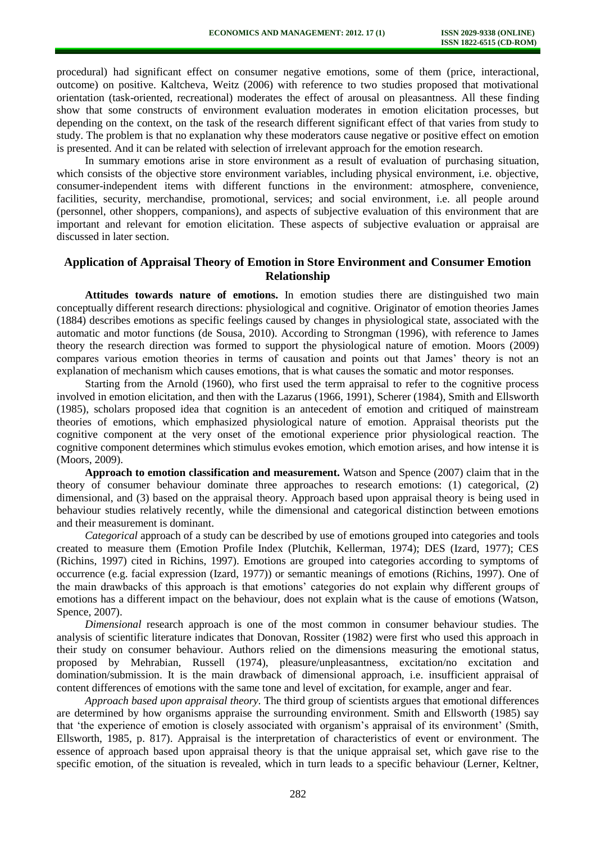procedural) had significant effect on consumer negative emotions, some of them (price, interactional, outcome) on positive. Kaltcheva, Weitz (2006) with reference to two studies proposed that motivational orientation (task-oriented, recreational) moderates the effect of arousal on pleasantness. All these finding show that some constructs of environment evaluation moderates in emotion elicitation processes, but depending on the context, on the task of the research different significant effect of that varies from study to study. The problem is that no explanation why these moderators cause negative or positive effect on emotion is presented. And it can be related with selection of irrelevant approach for the emotion research.

In summary emotions arise in store environment as a result of evaluation of purchasing situation, which consists of the objective store environment variables, including physical environment, i.e. objective, consumer-independent items with different functions in the environment: atmosphere, convenience, facilities, security, merchandise, promotional, services; and social environment, i.e. all people around (personnel, other shoppers, companions), and aspects of subjective evaluation of this environment that are important and relevant for emotion elicitation. These aspects of subjective evaluation or appraisal are discussed in later section.

## **Application of Appraisal Theory of Emotion in Store Environment and Consumer Emotion Relationship**

**Attitudes towards nature of emotions.** In emotion studies there are distinguished two main conceptually different research directions: physiological and cognitive. Originator of emotion theories James (1884) describes emotions as specific feelings caused by changes in physiological state, associated with the automatic and motor functions (de Sousa, 2010). According to Strongman (1996), with reference to James theory the research direction was formed to support the physiological nature of emotion. Moors (2009) compares various emotion theories in terms of causation and points out that James' theory is not an explanation of mechanism which causes emotions, that is what causes the somatic and motor responses.

Starting from the Arnold (1960), who first used the term appraisal to refer to the cognitive process involved in emotion elicitation, and then with the Lazarus (1966, 1991), Scherer (1984), Smith and Ellsworth (1985), scholars proposed idea that cognition is an antecedent of emotion and critiqued of mainstream theories of emotions, which emphasized physiological nature of emotion. Appraisal theorists put the cognitive component at the very onset of the emotional experience prior physiological reaction. The cognitive component determines which stimulus evokes emotion, which emotion arises, and how intense it is (Moors, 2009).

**Approach to emotion classification and measurement.** Watson and Spence (2007) claim that in the theory of consumer behaviour dominate three approaches to research emotions: (1) categorical, (2) dimensional, and (3) based on the appraisal theory. Approach based upon appraisal theory is being used in behaviour studies relatively recently, while the dimensional and categorical distinction between emotions and their measurement is dominant.

*Categorical* approach of a study can be described by use of emotions grouped into categories and tools created to measure them (Emotion Profile Index (Plutchik, Kellerman, 1974); DES (Izard, 1977); CES (Richins, 1997) cited in Richins, 1997). Emotions are grouped into categories according to symptoms of occurrence (e.g. facial expression (Izard, 1977)) or semantic meanings of emotions (Richins, 1997). One of the main drawbacks of this approach is that emotions' categories do not explain why different groups of emotions has a different impact on the behaviour, does not explain what is the cause of emotions (Watson, Spence, 2007).

*Dimensional* research approach is one of the most common in consumer behaviour studies. The analysis of scientific literature indicates that Donovan, Rossiter (1982) were first who used this approach in their study on consumer behaviour. Authors relied on the dimensions measuring the emotional status, proposed by Mehrabian, Russell (1974), pleasure/unpleasantness, excitation/no excitation and domination/submission. It is the main drawback of dimensional approach, i.e. insufficient appraisal of content differences of emotions with the same tone and level of excitation, for example, anger and fear.

*Approach based upon appraisal theory.* The third group of scientists argues that emotional differences are determined by how organisms appraise the surrounding environment. Smith and Ellsworth (1985) say that 'the experience of emotion is closely associated with organism's appraisal of its environment' (Smith, Ellsworth, 1985, p. 817). Appraisal is the interpretation of characteristics of event or environment. The essence of approach based upon appraisal theory is that the unique appraisal set, which gave rise to the specific emotion, of the situation is revealed, which in turn leads to a specific behaviour (Lerner, Keltner,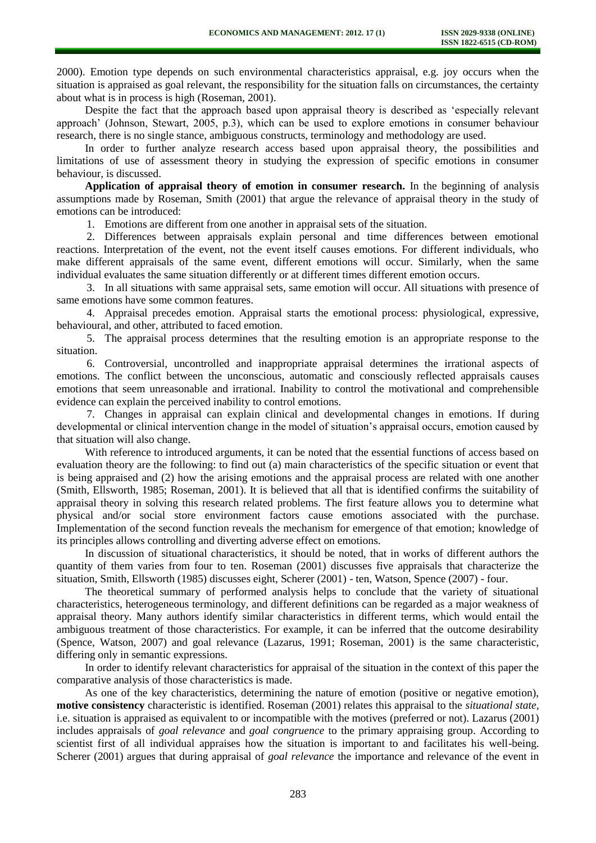2000). Emotion type depends on such environmental characteristics appraisal, e.g. joy occurs when the situation is appraised as goal relevant, the responsibility for the situation falls on circumstances, the certainty about what is in process is high (Roseman, 2001).

Despite the fact that the approach based upon appraisal theory is described as 'especially relevant approach' (Johnson, Stewart, 2005, p.3), which can be used to explore emotions in consumer behaviour research, there is no single stance, ambiguous constructs, terminology and methodology are used.

In order to further analyze research access based upon appraisal theory, the possibilities and limitations of use of assessment theory in studying the expression of specific emotions in consumer behaviour, is discussed.

**Application of appraisal theory of emotion in consumer research.** In the beginning of analysis assumptions made by Roseman, Smith (2001) that argue the relevance of appraisal theory in the study of emotions can be introduced:

1. Emotions are different from one another in appraisal sets of the situation.

2. Differences between appraisals explain personal and time differences between emotional reactions. Interpretation of the event, not the event itself causes emotions. For different individuals, who make different appraisals of the same event, different emotions will occur. Similarly, when the same individual evaluates the same situation differently or at different times different emotion occurs.

3. In all situations with same appraisal sets, same emotion will occur. All situations with presence of same emotions have some common features.

4. Appraisal precedes emotion. Appraisal starts the emotional process: physiological, expressive, behavioural, and other, attributed to faced emotion.

5. The appraisal process determines that the resulting emotion is an appropriate response to the situation.

6. Controversial, uncontrolled and inappropriate appraisal determines the irrational aspects of emotions. The conflict between the unconscious, automatic and consciously reflected appraisals causes emotions that seem unreasonable and irrational. Inability to control the motivational and comprehensible evidence can explain the perceived inability to control emotions.

7. Changes in appraisal can explain clinical and developmental changes in emotions. If during developmental or clinical intervention change in the model of situation's appraisal occurs, emotion caused by that situation will also change.

With reference to introduced arguments, it can be noted that the essential functions of access based on evaluation theory are the following: to find out (a) main characteristics of the specific situation or event that is being appraised and (2) how the arising emotions and the appraisal process are related with one another (Smith, Ellsworth, 1985; Roseman, 2001). It is believed that all that is identified confirms the suitability of appraisal theory in solving this research related problems. The first feature allows you to determine what physical and/or social store environment factors cause emotions associated with the purchase. Implementation of the second function reveals the mechanism for emergence of that emotion; knowledge of its principles allows controlling and diverting adverse effect on emotions.

In discussion of situational characteristics, it should be noted, that in works of different authors the quantity of them varies from four to ten. Roseman (2001) discusses five appraisals that characterize the situation, Smith, Ellsworth (1985) discusses eight, Scherer (2001) - ten, Watson, Spence (2007) - four.

The theoretical summary of performed analysis helps to conclude that the variety of situational characteristics, heterogeneous terminology, and different definitions can be regarded as a major weakness of appraisal theory. Many authors identify similar characteristics in different terms, which would entail the ambiguous treatment of those characteristics. For example, it can be inferred that the outcome desirability (Spence, Watson, 2007) and goal relevance (Lazarus, 1991; Roseman, 2001) is the same characteristic, differing only in semantic expressions.

In order to identify relevant characteristics for appraisal of the situation in the context of this paper the comparative analysis of those characteristics is made.

As one of the key characteristics, determining the nature of emotion (positive or negative emotion), **motive consistency** characteristic is identified. Roseman (2001) relates this appraisal to the *situational state,* i.e. situation is appraised as equivalent to or incompatible with the motives (preferred or not). Lazarus (2001) includes appraisals of *goal relevance* and *goal congruence* to the primary appraising group. According to scientist first of all individual appraises how the situation is important to and facilitates his well-being. Scherer (2001) argues that during appraisal of *goal relevance* the importance and relevance of the event in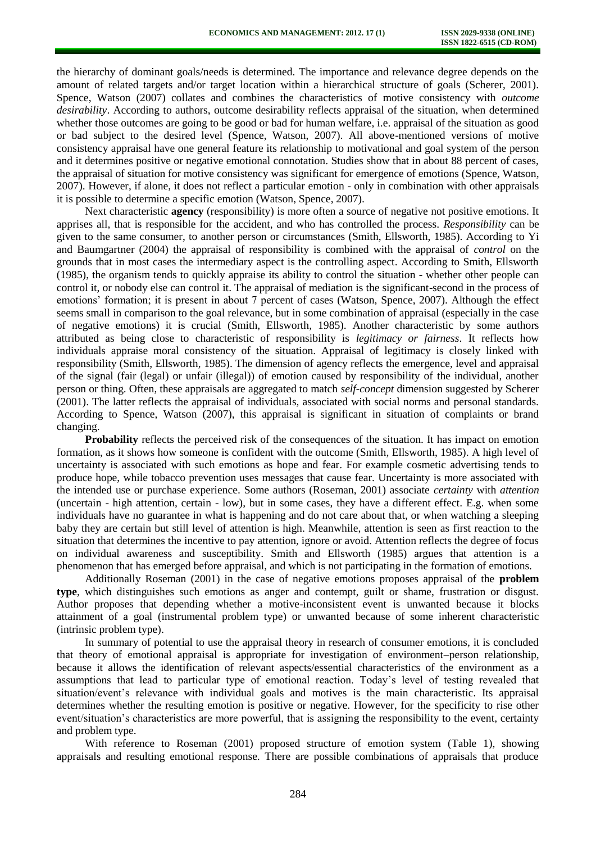the hierarchy of dominant goals/needs is determined. The importance and relevance degree depends on the amount of related targets and/or target location within a hierarchical structure of goals (Scherer, 2001). Spence, Watson (2007) collates and combines the characteristics of motive consistency with *outcome desirability*. According to authors, outcome desirability reflects appraisal of the situation, when determined whether those outcomes are going to be good or bad for human welfare, i.e. appraisal of the situation as good or bad subject to the desired level (Spence, Watson, 2007). All above-mentioned versions of motive consistency appraisal have one general feature its relationship to motivational and goal system of the person and it determines positive or negative emotional connotation. Studies show that in about 88 percent of cases, the appraisal of situation for motive consistency was significant for emergence of emotions (Spence, Watson, 2007). However, if alone, it does not reflect a particular emotion - only in combination with other appraisals it is possible to determine a specific emotion (Watson, Spence, 2007).

Next characteristic **agency** (responsibility) is more often a source of negative not positive emotions. It apprises all, that is responsible for the accident, and who has controlled the process. *Responsibility* can be given to the same consumer, to another person or circumstances (Smith, Ellsworth, 1985). According to Yi and Baumgartner (2004) the appraisal of responsibility is combined with the appraisal of *control* on the grounds that in most cases the intermediary aspect is the controlling aspect. According to Smith, Ellsworth (1985), the organism tends to quickly appraise its ability to control the situation - whether other people can control it, or nobody else can control it. The appraisal of mediation is the significant-second in the process of emotions' formation; it is present in about 7 percent of cases (Watson, Spence, 2007). Although the effect seems small in comparison to the goal relevance, but in some combination of appraisal (especially in the case of negative emotions) it is crucial (Smith, Ellsworth, 1985). Another characteristic by some authors attributed as being close to characteristic of responsibility is *legitimacy or fairness*. It reflects how individuals appraise moral consistency of the situation. Appraisal of legitimacy is closely linked with responsibility (Smith, Ellsworth, 1985). The dimension of agency reflects the emergence, level and appraisal of the signal (fair (legal) or unfair (illegal)) of emotion caused by responsibility of the individual, another person or thing. Often, these appraisals are aggregated to match *self-concept* dimension suggested by Scherer (2001). The latter reflects the appraisal of individuals, associated with social norms and personal standards. According to Spence, Watson (2007), this appraisal is significant in situation of complaints or brand changing.

**Probability** reflects the perceived risk of the consequences of the situation. It has impact on emotion formation, as it shows how someone is confident with the outcome (Smith, Ellsworth, 1985). A high level of uncertainty is associated with such emotions as hope and fear. For example cosmetic advertising tends to produce hope, while tobacco prevention uses messages that cause fear. Uncertainty is more associated with the intended use or purchase experience. Some authors (Roseman, 2001) associate *certainty* with *attention* (uncertain - high attention, certain - low), but in some cases, they have a different effect. E.g. when some individuals have no guarantee in what is happening and do not care about that, or when watching a sleeping baby they are certain but still level of attention is high. Meanwhile, attention is seen as first reaction to the situation that determines the incentive to pay attention, ignore or avoid. Attention reflects the degree of focus on individual awareness and susceptibility. Smith and Ellsworth (1985) argues that attention is a phenomenon that has emerged before appraisal, and which is not participating in the formation of emotions.

Additionally Roseman (2001) in the case of negative emotions proposes appraisal of the **problem type**, which distinguishes such emotions as anger and contempt, guilt or shame, frustration or disgust. Author proposes that depending whether a motive-inconsistent event is unwanted because it blocks attainment of a goal (instrumental problem type) or unwanted because of some inherent characteristic (intrinsic problem type).

In summary of potential to use the appraisal theory in research of consumer emotions, it is concluded that theory of emotional appraisal is appropriate for investigation of environment–person relationship, because it allows the identification of relevant aspects/essential characteristics of the environment as a assumptions that lead to particular type of emotional reaction. Today's level of testing revealed that situation/event's relevance with individual goals and motives is the main characteristic. Its appraisal determines whether the resulting emotion is positive or negative. However, for the specificity to rise other event/situation's characteristics are more powerful, that is assigning the responsibility to the event, certainty and problem type.

With reference to Roseman (2001) proposed structure of emotion system (Table 1), showing appraisals and resulting emotional response. There are possible combinations of appraisals that produce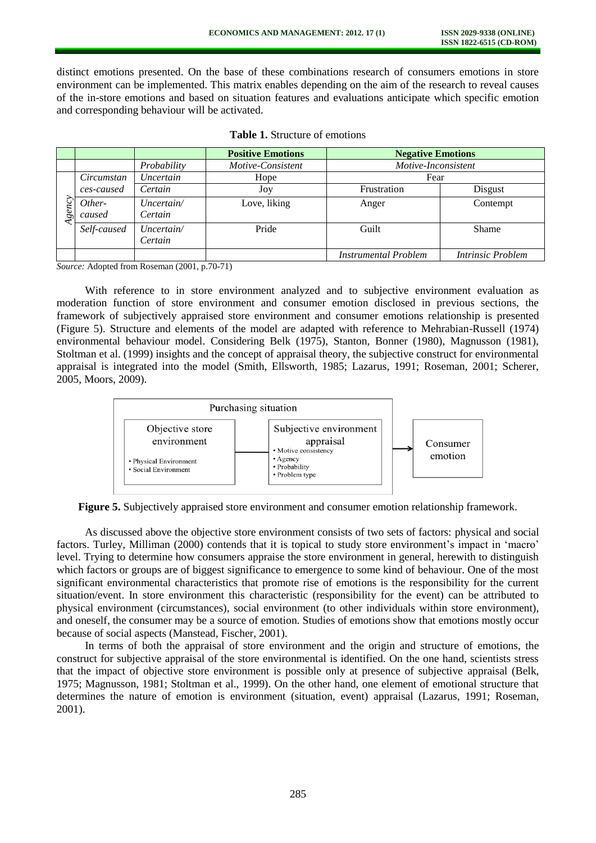distinct emotions presented. On the base of these combinations research of consumers emotions in store environment can be implemented. This matrix enables depending on the aim of the research to reveal causes of the in-store emotions and based on situation features and evaluations anticipate which specific emotion and corresponding behaviour will be activated.

|       |                  |                       | <b>Positive Emotions</b> | <b>Negative Emotions</b>    |                   |
|-------|------------------|-----------------------|--------------------------|-----------------------------|-------------------|
|       |                  | Probability           | Motive-Consistent        | Motive-Inconsistent         |                   |
|       | Circumstan       | Uncertain             | Hope                     | Fear                        |                   |
| gency | ces-caused       | Certain               | Joy                      | Frustration                 | Disgust           |
|       | Other-<br>caused | Uncertain/<br>Certain | Love, liking             | Anger                       | Contempt          |
|       | Self-caused      | Uncertain/<br>Certain | Pride                    | Guilt                       | Shame             |
|       |                  |                       |                          | <b>Instrumental Problem</b> | Intrinsic Problem |

*Source:* Adopted from Roseman (2001, p.70-71)

With reference to in store environment analyzed and to subjective environment evaluation as moderation function of store environment and consumer emotion disclosed in previous sections, the framework of subjectively appraised store environment and consumer emotions relationship is presented (Figure 5). Structure and elements of the model are adapted with reference to Mehrabian-Russell (1974) environmental behaviour model. Considering Belk (1975), Stanton, Bonner (1980), Magnusson (1981), Stoltman et al. (1999) insights and the concept of appraisal theory, the subjective construct for environmental appraisal is integrated into the model (Smith, Ellsworth, 1985; Lazarus, 1991; Roseman, 2001; Scherer, 2005, Moors, 2009).



**Figure 5.** Subjectively appraised store environment and consumer emotion relationship framework.

As discussed above the objective store environment consists of two sets of factors: physical and social factors. Turley, Milliman (2000) contends that it is topical to study store environment's impact in 'macro' level. Trying to determine how consumers appraise the store environment in general, herewith to distinguish which factors or groups are of biggest significance to emergence to some kind of behaviour. One of the most significant environmental characteristics that promote rise of emotions is the responsibility for the current situation/event. In store environment this characteristic (responsibility for the event) can be attributed to physical environment (circumstances), social environment (to other individuals within store environment), and oneself, the consumer may be a source of emotion. Studies of emotions show that emotions mostly occur because of social aspects (Manstead, Fischer, 2001).

In terms of both the appraisal of store environment and the origin and structure of emotions, the construct for subjective appraisal of the store environmental is identified. On the one hand, scientists stress that the impact of objective store environment is possible only at presence of subjective appraisal (Belk, 1975; Magnusson, 1981; Stoltman et al., 1999). On the other hand, one element of emotional structure that determines the nature of emotion is environment (situation, event) appraisal (Lazarus, 1991; Roseman, 2001).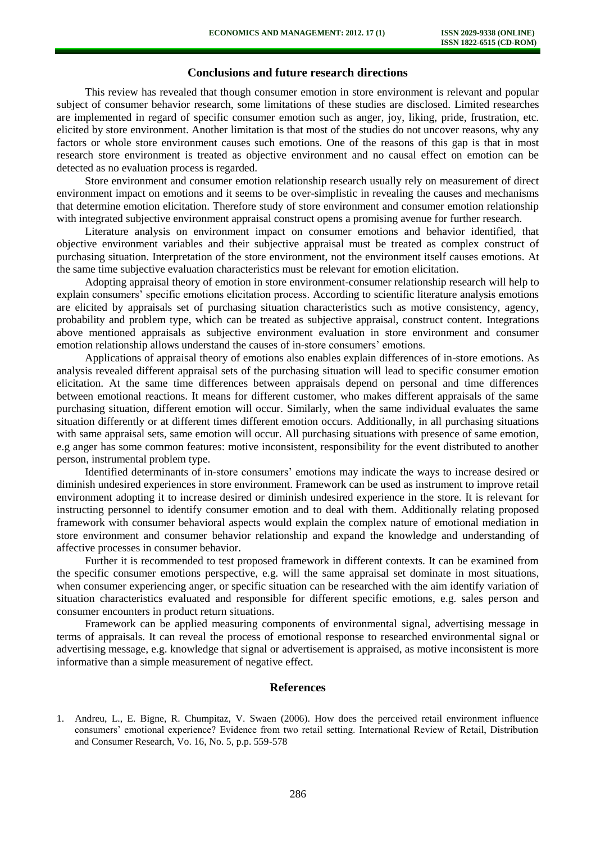### **Conclusions and future research directions**

This review has revealed that though consumer emotion in store environment is relevant and popular subject of consumer behavior research, some limitations of these studies are disclosed. Limited researches are implemented in regard of specific consumer emotion such as anger, joy, liking, pride, frustration, etc. elicited by store environment. Another limitation is that most of the studies do not uncover reasons, why any factors or whole store environment causes such emotions. One of the reasons of this gap is that in most research store environment is treated as objective environment and no causal effect on emotion can be detected as no evaluation process is regarded.

Store environment and consumer emotion relationship research usually rely on measurement of direct environment impact on emotions and it seems to be over-simplistic in revealing the causes and mechanisms that determine emotion elicitation. Therefore study of store environment and consumer emotion relationship with integrated subjective environment appraisal construct opens a promising avenue for further research.

Literature analysis on environment impact on consumer emotions and behavior identified, that objective environment variables and their subjective appraisal must be treated as complex construct of purchasing situation. Interpretation of the store environment, not the environment itself causes emotions. At the same time subjective evaluation characteristics must be relevant for emotion elicitation.

Adopting appraisal theory of emotion in store environment-consumer relationship research will help to explain consumers' specific emotions elicitation process. According to scientific literature analysis emotions are elicited by appraisals set of purchasing situation characteristics such as motive consistency, agency, probability and problem type, which can be treated as subjective appraisal, construct content. Integrations above mentioned appraisals as subjective environment evaluation in store environment and consumer emotion relationship allows understand the causes of in-store consumers' emotions.

Applications of appraisal theory of emotions also enables explain differences of in-store emotions. As analysis revealed different appraisal sets of the purchasing situation will lead to specific consumer emotion elicitation. At the same time differences between appraisals depend on personal and time differences between emotional reactions. It means for different customer, who makes different appraisals of the same purchasing situation, different emotion will occur. Similarly, when the same individual evaluates the same situation differently or at different times different emotion occurs. Additionally, in all purchasing situations with same appraisal sets, same emotion will occur. All purchasing situations with presence of same emotion, e.g anger has some common features: motive inconsistent, responsibility for the event distributed to another person, instrumental problem type.

Identified determinants of in-store consumers' emotions may indicate the ways to increase desired or diminish undesired experiences in store environment. Framework can be used as instrument to improve retail environment adopting it to increase desired or diminish undesired experience in the store. It is relevant for instructing personnel to identify consumer emotion and to deal with them. Additionally relating proposed framework with consumer behavioral aspects would explain the complex nature of emotional mediation in store environment and consumer behavior relationship and expand the knowledge and understanding of affective processes in consumer behavior.

Further it is recommended to test proposed framework in different contexts. It can be examined from the specific consumer emotions perspective, e.g. will the same appraisal set dominate in most situations, when consumer experiencing anger, or specific situation can be researched with the aim identify variation of situation characteristics evaluated and responsible for different specific emotions, e.g. sales person and consumer encounters in product return situations.

Framework can be applied measuring components of environmental signal, advertising message in terms of appraisals. It can reveal the process of emotional response to researched environmental signal or advertising message, e.g. knowledge that signal or advertisement is appraised, as motive inconsistent is more informative than a simple measurement of negative effect.

#### **References**

<sup>1.</sup> Andreu, L., E. Bigne, R. Chumpitaz, V. Swaen (2006). How does the perceived retail environment influence consumers' emotional experience? Evidence from two retail setting. International Review of Retail, Distribution and Consumer Research, Vo. 16, No. 5, p.p. 559-578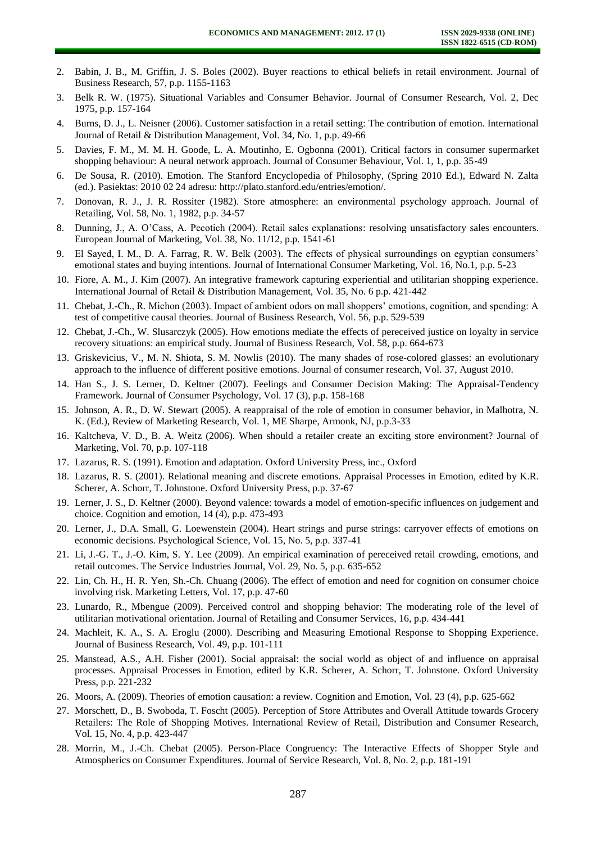- 2. Babin, J. B., M. Griffin, J. S. Boles (2002). Buyer reactions to ethical beliefs in retail environment. Journal of Business Research, 57, p.p. 1155-1163
- 3. Belk R. W. (1975). Situational Variables and Consumer Behavior. Journal of Consumer Research, Vol. 2, Dec 1975, p.p. 157-164
- 4. Burns, D. J., L. Neisner (2006). Customer satisfaction in a retail setting: The contribution of emotion. International Journal of Retail & Distribution Management, Vol. 34, No. 1, p.p. 49-66
- 5. Davies, F. M., M. M. H. Goode, L. A. Moutinho, E. Ogbonna (2001). Critical factors in consumer supermarket shopping behaviour: A neural network approach. Journal of Consumer Behaviour, Vol. 1, 1, p.p. 35-49
- 6. De Sousa, R. (2010). Emotion. The Stanford Encyclopedia of Philosophy, (Spring 2010 Ed.), Edward N. Zalta (ed.). Pasiektas: 2010 02 24 adresu: http://plato.stanford.edu/entries/emotion/.
- 7. Donovan, R. J., J. R. Rossiter (1982). Store atmosphere: an environmental psychology approach. Journal of Retailing, Vol. 58, No. 1, 1982, p.p. 34-57
- 8. Dunning, J., A. O'Cass, A. Pecotich (2004). Retail sales explanations: resolving unsatisfactory sales encounters. European Journal of Marketing, Vol. 38, No. 11/12, p.p. 1541-61
- 9. El Sayed, I. M., D. A. Farrag, R. W. Belk (2003). The effects of physical surroundings on egyptian consumers' emotional states and buying intentions. Journal of International Consumer Marketing, Vol. 16, No.1, p.p. 5-23
- 10. Fiore, A. M., J. Kim (2007). An integrative framework capturing experiential and utilitarian shopping experience. International Journal of Retail & Distribution Management, Vol. 35, No. 6 p.p. 421-442
- 11. Chebat, J.-Ch., R. Michon (2003). Impact of ambient odors on mall shoppers' emotions, cognition, and spending: A test of competitive causal theories. Journal of Business Research, Vol. 56, p.p. 529-539
- 12. Chebat, J.-Ch., W. Slusarczyk (2005). How emotions mediate the effects of pereceived justice on loyalty in service recovery situations: an empirical study. Journal of Business Research, Vol. 58, p.p. 664-673
- 13. Griskevicius, V., M. N. Shiota, S. M. Nowlis (2010). The many shades of rose-colored glasses: an evolutionary approach to the influence of different positive emotions. Journal of consumer research, Vol. 37, August 2010.
- 14. Han S., J. S. Lerner, D. Keltner (2007). Feelings and Consumer Decision Making: The Appraisal-Tendency Framework. Journal of Consumer Psychology, Vol. 17 (3), p.p. 158-168
- 15. Johnson, A. R., D. W. Stewart (2005). A reappraisal of the role of emotion in consumer behavior, in Malhotra, N. K. (Ed.), Review of Marketing Research, Vol. 1, ME Sharpe, Armonk, NJ, p.p.3-33
- 16. Kaltcheva, V. D., B. A. Weitz (2006). When should a retailer create an exciting store environment? Journal of Marketing, Vol. 70, p.p. 107-118
- 17. Lazarus, R. S. (1991). Emotion and adaptation. Oxford University Press, inc., Oxford
- 18. Lazarus, R. S. (2001). Relational meaning and discrete emotions. Appraisal Processes in Emotion, edited by K.R. Scherer, A. Schorr, T. Johnstone. Oxford University Press, p.p. 37-67
- 19. Lerner, J. S., D. Keltner (2000). Beyond valence: towards a model of emotion-specific influences on judgement and choice. Cognition and emotion, 14 (4), p.p. 473-493
- 20. Lerner, J., D.A. Small, G. Loewenstein (2004). Heart strings and purse strings: carryover effects of emotions on economic decisions. Psychological Science, Vol. 15, No. 5, p.p. 337-41
- 21. Li, J.-G. T., J.-O. Kim, S. Y. Lee (2009). An empirical examination of pereceived retail crowding, emotions, and retail outcomes. The Service Industries Journal, Vol. 29, No. 5, p.p. 635-652
- 22. Lin, Ch. H., H. R. Yen, Sh.-Ch. Chuang (2006). The effect of emotion and need for cognition on consumer choice involving risk. Marketing Letters, Vol. 17, p.p. 47-60
- 23. Lunardo, R., Mbengue (2009). Perceived control and shopping behavior: The moderating role of the level of utilitarian motivational orientation. Journal of Retailing and Consumer Services, 16, p.p. 434-441
- 24. Machleit, K. A., S. A. Eroglu (2000). Describing and Measuring Emotional Response to Shopping Experience. Journal of Business Research, Vol. 49, p.p. 101-111
- 25. Manstead, A.S., A.H. Fisher (2001). Social appraisal: the social world as object of and influence on appraisal processes. Appraisal Processes in Emotion, edited by K.R. Scherer, A. Schorr, T. Johnstone. Oxford University Press, p.p. 221-232
- 26. Moors, A. (2009). Theories of emotion causation: a review. Cognition and Emotion, Vol. 23 (4), p.p. 625-662
- 27. Morschett, D., B. Swoboda, T. Foscht (2005). Perception of Store Attributes and Overall Attitude towards Grocery Retailers: The Role of Shopping Motives. International Review of Retail, Distribution and Consumer Research, Vol. 15, No. 4, p.p. 423-447
- 28. Morrin, M., J.-Ch. Chebat (2005). Person-Place Congruency: The Interactive Effects of Shopper Style and Atmospherics on Consumer Expenditures. Journal of Service Research, Vol. 8, No. 2, p.p. 181-191